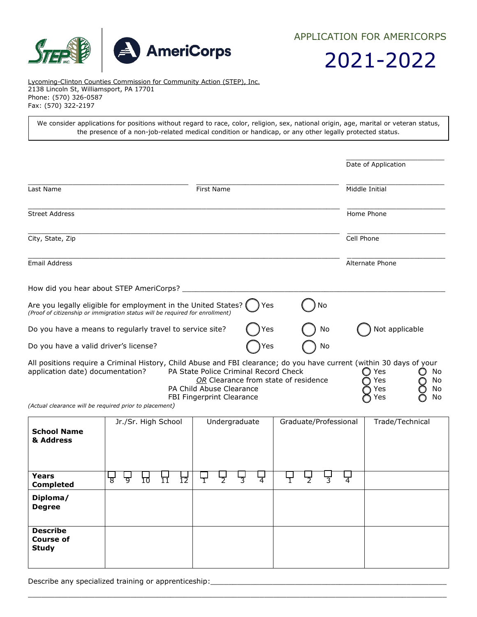

APPLICATION FOR AMERICORPS

2021-2022

Lycoming-Clinton Counties Commission for Community Action (STEP), Inc. 2138 Lincoln St, Williamsport, PA 17701 Phone: (570) 326-0587 Fax: (570) 322-2197

We consider applications for positions without regard to race, color, religion, sex, national origin, age, marital or veteran status, the presence of a non-job-related medical condition or handicap, or any other legally protected status.

|                                                                                                                                                                                                                    |                                                                                                |                                      |    | Date of Application      |                           |
|--------------------------------------------------------------------------------------------------------------------------------------------------------------------------------------------------------------------|------------------------------------------------------------------------------------------------|--------------------------------------|----|--------------------------|---------------------------|
| Last Name                                                                                                                                                                                                          | First Name                                                                                     |                                      |    | Middle Initial           |                           |
| <b>Street Address</b>                                                                                                                                                                                              |                                                                                                |                                      |    | Home Phone               |                           |
| City, State, Zip                                                                                                                                                                                                   |                                                                                                |                                      |    | Cell Phone               |                           |
| Email Address                                                                                                                                                                                                      |                                                                                                |                                      |    | Alternate Phone          |                           |
| How did you hear about STEP AmeriCorps?                                                                                                                                                                            |                                                                                                |                                      |    |                          |                           |
| Are you legally eligible for employment in the United States? (<br>(Proof of citizenship or immigration status will be required for enrollment)                                                                    |                                                                                                | Yes                                  | No |                          |                           |
| Do you have a means to regularly travel to service site?                                                                                                                                                           |                                                                                                | Yes                                  | No | Not applicable           |                           |
| Do you have a valid driver's license?                                                                                                                                                                              |                                                                                                | Yes                                  | No |                          |                           |
| All positions require a Criminal History, Child Abuse and FBI clearance; do you have current (within 30 days of your<br>application date) documentation?<br>(Actual clearance will be required prior to placement) | PA State Police Criminal Record Check<br>PA Child Abuse Clearance<br>FBI Fingerprint Clearance | OR Clearance from state of residence |    | Yes<br>Yes<br>Yes<br>Yes | No<br>O<br>No<br>No<br>No |

| <b>School Name</b><br>& Address                     |           | Jr./Sr. High School |    |    |   |                | Undergraduate |                | Graduate/Professional |   |                |                | Trade/Technical |
|-----------------------------------------------------|-----------|---------------------|----|----|---|----------------|---------------|----------------|-----------------------|---|----------------|----------------|-----------------|
| Years<br><b>Completed</b>                           | ᡃᡖᡃ<br>᠊ᢦ | ΙŌ                  | 11 | īŹ | ┯ | $\overline{2}$ | 3             | $\overline{4}$ |                       | 7 | $\overline{3}$ | $\overline{4}$ |                 |
| Diploma/<br><b>Degree</b>                           |           |                     |    |    |   |                |               |                |                       |   |                |                |                 |
| <b>Describe</b><br><b>Course of</b><br><b>Study</b> |           |                     |    |    |   |                |               |                |                       |   |                |                |                 |

 $\_$  ,  $\_$  ,  $\_$  ,  $\_$  ,  $\_$  ,  $\_$  ,  $\_$  ,  $\_$  ,  $\_$  ,  $\_$  ,  $\_$  ,  $\_$  ,  $\_$  ,  $\_$  ,  $\_$  ,  $\_$  ,  $\_$  ,  $\_$  ,  $\_$  ,  $\_$  ,  $\_$  ,  $\_$  ,  $\_$  ,  $\_$  ,  $\_$  ,  $\_$  ,  $\_$  ,  $\_$  ,  $\_$  ,  $\_$  ,  $\_$  ,  $\_$  ,  $\_$  ,  $\_$  ,  $\_$  ,  $\_$  ,  $\_$  ,

Describe any specialized training or apprenticeship: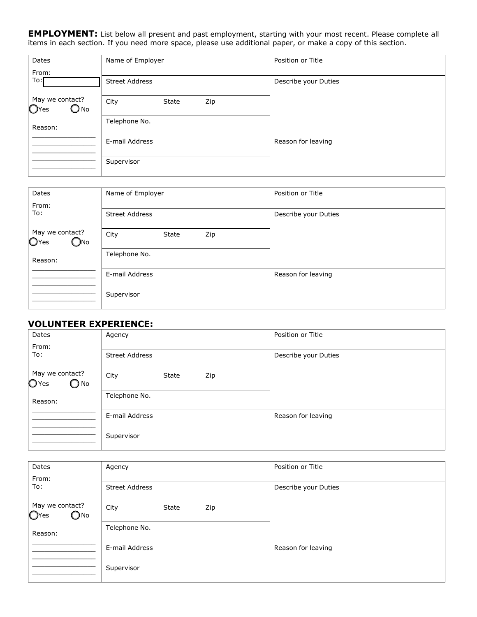**EMPLOYMENT:** List below all present and past employment, starting with your most recent. Please complete all items in each section. If you need more space, please use additional paper, or make a copy of this section.

| Dates                                    | Name of Employer      | Position or Title    |
|------------------------------------------|-----------------------|----------------------|
| From:<br>To:[                            | <b>Street Address</b> | Describe your Duties |
| May we contact?<br>OYes<br>$\bigcirc$ No | City<br>Zip<br>State  |                      |
| Reason:                                  | Telephone No.         |                      |
|                                          | E-mail Address        | Reason for leaving   |
|                                          | Supervisor            |                      |

| Dates                                                | Name of Employer      | Position or Title    |  |
|------------------------------------------------------|-----------------------|----------------------|--|
| From:<br>To:                                         | <b>Street Address</b> | Describe your Duties |  |
| May we contact?<br>O <sub>Yes</sub><br>$\bigcirc$ No | City<br>Zip<br>State  |                      |  |
| Reason:                                              | Telephone No.         |                      |  |
|                                                      | E-mail Address        | Reason for leaving   |  |
|                                                      | Supervisor            |                      |  |

## **VOLUNTEER EXPERIENCE:**

| Dates                                       | Agency                | Position or Title    |
|---------------------------------------------|-----------------------|----------------------|
| From:<br>To:                                | <b>Street Address</b> | Describe your Duties |
| May we contact?<br>$O$ Yes<br>$\bigcirc$ No | City<br>Zip<br>State  |                      |
| Reason:                                     | Telephone No.         |                      |
|                                             | E-mail Address        | Reason for leaving   |
|                                             | Supervisor            |                      |

| Dates                                    | Agency                | Position or Title    |
|------------------------------------------|-----------------------|----------------------|
| From:<br>To:                             | <b>Street Address</b> | Describe your Duties |
|                                          |                       |                      |
| May we contact?<br>OYes<br>$\bigcirc$ No | City<br>Zip<br>State  |                      |
| Reason:                                  | Telephone No.         |                      |
|                                          | E-mail Address        | Reason for leaving   |
|                                          | Supervisor            |                      |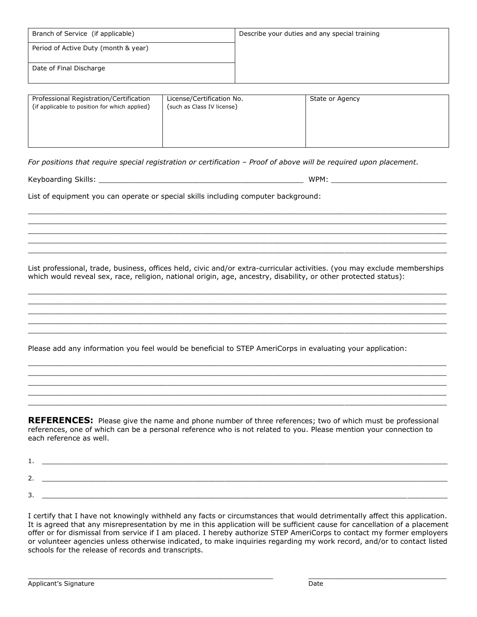| Branch of Service (if applicable)    | Describe your duties and any special training |
|--------------------------------------|-----------------------------------------------|
| Period of Active Duty (month & year) |                                               |
| Date of Final Discharge              |                                               |
|                                      |                                               |

| Professional Registration/Certification<br>(if applicable to position for which applied) | License/Certification No.<br>(such as Class IV license) | State or Agency |
|------------------------------------------------------------------------------------------|---------------------------------------------------------|-----------------|
|                                                                                          |                                                         |                 |

For positions that require special registration or certification – Proof of above will be required upon placement.

Keyboarding Skills: \_\_\_\_\_\_\_\_\_\_\_\_\_\_\_\_\_\_\_\_\_\_\_\_\_\_\_\_\_\_\_\_\_\_\_\_\_\_\_\_\_\_\_\_\_\_ WPM: \_\_\_\_\_\_\_\_\_\_\_\_\_\_\_\_\_\_\_\_\_\_\_\_\_\_

List of equipment you can operate or special skills including computer background:

List professional, trade, business, offices held, civic and/or extra-curricular activities. (you may exclude memberships which would reveal sex, race, religion, national origin, age, ancestry, disability, or other protected status):

 $\Box$  $\_$  ,  $\_$  ,  $\_$  ,  $\_$  ,  $\_$  ,  $\_$  ,  $\_$  ,  $\_$  ,  $\_$  ,  $\_$  ,  $\_$  ,  $\_$  ,  $\_$  ,  $\_$  ,  $\_$  ,  $\_$  ,  $\_$  ,  $\_$  ,  $\_$  ,  $\_$  ,  $\_$  ,  $\_$  ,  $\_$  ,  $\_$  ,  $\_$  ,  $\_$  ,  $\_$  ,  $\_$  ,  $\_$  ,  $\_$  ,  $\_$  ,  $\_$  ,  $\_$  ,  $\_$  ,  $\_$  ,  $\_$  ,  $\_$  ,  $\Box$  $\_$  ,  $\_$  ,  $\_$  ,  $\_$  ,  $\_$  ,  $\_$  ,  $\_$  ,  $\_$  ,  $\_$  ,  $\_$  ,  $\_$  ,  $\_$  ,  $\_$  ,  $\_$  ,  $\_$  ,  $\_$  ,  $\_$  ,  $\_$  ,  $\_$  ,  $\_$  ,  $\_$  ,  $\_$  ,  $\_$  ,  $\_$  ,  $\_$  ,  $\_$  ,  $\_$  ,  $\_$  ,  $\_$  ,  $\_$  ,  $\_$  ,  $\_$  ,  $\_$  ,  $\_$  ,  $\_$  ,  $\_$  ,  $\_$  ,  $\_$  ,  $\_$  ,  $\_$  ,  $\_$  ,  $\_$  ,  $\_$  ,  $\_$  ,  $\_$  ,  $\_$  ,  $\_$  ,  $\_$  ,  $\_$  ,  $\_$  ,  $\_$  ,  $\_$  ,  $\_$  ,  $\_$  ,  $\_$  ,  $\_$  ,  $\_$  ,  $\_$  ,  $\_$  ,  $\_$  ,  $\_$  ,  $\_$  ,  $\_$  ,  $\_$  ,  $\_$  ,  $\_$  ,  $\_$  ,  $\_$  ,  $\_$  ,  $\_$  ,  $\_$  ,  $\_$  ,  $\_$  ,  $\_$  ,

 $\_$  ,  $\_$  ,  $\_$  ,  $\_$  ,  $\_$  ,  $\_$  ,  $\_$  ,  $\_$  ,  $\_$  ,  $\_$  ,  $\_$  ,  $\_$  ,  $\_$  ,  $\_$  ,  $\_$  ,  $\_$  ,  $\_$  ,  $\_$  ,  $\_$  ,  $\_$  ,  $\_$  ,  $\_$  ,  $\_$  ,  $\_$  ,  $\_$  ,  $\_$  ,  $\_$  ,  $\_$  ,  $\_$  ,  $\_$  ,  $\_$  ,  $\_$  ,  $\_$  ,  $\_$  ,  $\_$  ,  $\_$  ,  $\_$  ,  $\Box$  $\_$  ,  $\_$  ,  $\_$  ,  $\_$  ,  $\_$  ,  $\_$  ,  $\_$  ,  $\_$  ,  $\_$  ,  $\_$  ,  $\_$  ,  $\_$  ,  $\_$  ,  $\_$  ,  $\_$  ,  $\_$  ,  $\_$  ,  $\_$  ,  $\_$  ,  $\_$  ,  $\_$  ,  $\_$  ,  $\_$  ,  $\_$  ,  $\_$  ,  $\_$  ,  $\_$  ,  $\_$  ,  $\_$  ,  $\_$  ,  $\_$  ,  $\_$  ,  $\_$  ,  $\_$  ,  $\_$  ,  $\_$  ,  $\_$  ,  $\_$  ,  $\_$  ,  $\_$  ,  $\_$  ,  $\_$  ,  $\_$  ,  $\_$  ,  $\_$  ,  $\_$  ,  $\_$  ,  $\_$  ,  $\_$  ,  $\_$  ,  $\_$  ,  $\_$  ,  $\_$  ,  $\_$  ,  $\_$  ,  $\_$  ,  $\_$  ,  $\_$  ,  $\_$  ,  $\_$  ,  $\_$  ,  $\_$  ,  $\_$  ,  $\_$  ,  $\_$  ,  $\_$  ,  $\_$  ,  $\_$  ,  $\_$  ,  $\_$  ,  $\_$  ,  $\_$  ,  $\_$  ,  $\_$  ,  $\Box$ 

 $\_$  ,  $\_$  ,  $\_$  ,  $\_$  ,  $\_$  ,  $\_$  ,  $\_$  ,  $\_$  ,  $\_$  ,  $\_$  ,  $\_$  ,  $\_$  ,  $\_$  ,  $\_$  ,  $\_$  ,  $\_$  ,  $\_$  ,  $\_$  ,  $\_$  ,  $\_$  ,  $\_$  ,  $\_$  ,  $\_$  ,  $\_$  ,  $\_$  ,  $\_$  ,  $\_$  ,  $\_$  ,  $\_$  ,  $\_$  ,  $\_$  ,  $\_$  ,  $\_$  ,  $\_$  ,  $\_$  ,  $\_$  ,  $\_$  ,  $\Box$  $\_$  ,  $\_$  ,  $\_$  ,  $\_$  ,  $\_$  ,  $\_$  ,  $\_$  ,  $\_$  ,  $\_$  ,  $\_$  ,  $\_$  ,  $\_$  ,  $\_$  ,  $\_$  ,  $\_$  ,  $\_$  ,  $\_$  ,  $\_$  ,  $\_$  ,  $\_$  ,  $\_$  ,  $\_$  ,  $\_$  ,  $\_$  ,  $\_$  ,  $\_$  ,  $\_$  ,  $\_$  ,  $\_$  ,  $\_$  ,  $\_$  ,  $\_$  ,  $\_$  ,  $\_$  ,  $\_$  ,  $\_$  ,  $\_$  ,  $\Box$  $\_$  ,  $\_$  ,  $\_$  ,  $\_$  ,  $\_$  ,  $\_$  ,  $\_$  ,  $\_$  ,  $\_$  ,  $\_$  ,  $\_$  ,  $\_$  ,  $\_$  ,  $\_$  ,  $\_$  ,  $\_$  ,  $\_$  ,  $\_$  ,  $\_$  ,  $\_$  ,  $\_$  ,  $\_$  ,  $\_$  ,  $\_$  ,  $\_$  ,  $\_$  ,  $\_$  ,  $\_$  ,  $\_$  ,  $\_$  ,  $\_$  ,  $\_$  ,  $\_$  ,  $\_$  ,  $\_$  ,  $\_$  ,  $\_$  ,

Please add any information you feel would be beneficial to STEP AmeriCorps in evaluating your application:

**REFERENCES:** Please give the name and phone number of three references; two of which must be professional references, one of which can be a personal reference who is not related to you. Please mention your connection to each reference as well.

| .        |  |
|----------|--|
|          |  |
| -        |  |
|          |  |
| -        |  |
| <u>.</u> |  |

I certify that I have not knowingly withheld any facts or circumstances that would detrimentally affect this application. It is agreed that any misrepresentation by me in this application will be sufficient cause for cancellation of a placement offer or for dismissal from service if I am placed. I hereby authorize STEP AmeriCorps to contact my former employers or volunteer agencies unless otherwise indicated, to make inquiries regarding my work record, and/or to contact listed schools for the release of records and transcripts.

 $\_$  ,  $\_$  ,  $\_$  ,  $\_$  ,  $\_$  ,  $\_$  ,  $\_$  ,  $\_$  ,  $\_$  ,  $\_$  ,  $\_$  ,  $\_$  ,  $\_$  ,  $\_$  ,  $\_$  ,  $\_$  ,  $\_$  ,  $\_$  ,  $\_$  ,  $\_$  ,  $\_$  ,  $\_$  ,  $\_$  ,  $\_$  ,  $\_$  ,  $\_$  ,  $\_$  ,  $\_$  ,  $\_$  ,  $\_$  ,  $\_$  ,  $\_$  ,  $\_$  ,  $\_$  ,  $\_$  ,  $\_$  ,  $\_$  ,